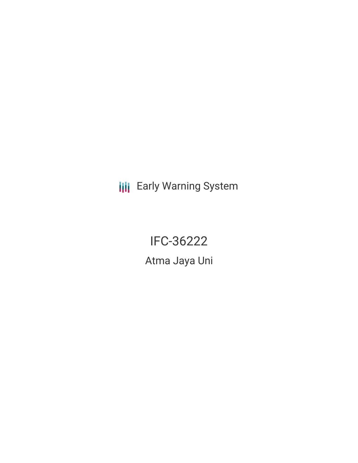## **III** Early Warning System

# IFC-36222

Atma Jaya Uni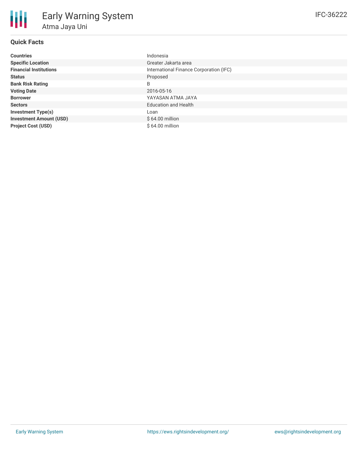#### **Quick Facts**

| <b>Countries</b>               | Indonesia                               |
|--------------------------------|-----------------------------------------|
| <b>Specific Location</b>       | Greater Jakarta area                    |
| <b>Financial Institutions</b>  | International Finance Corporation (IFC) |
| <b>Status</b>                  | Proposed                                |
| <b>Bank Risk Rating</b>        | B                                       |
| <b>Voting Date</b>             | 2016-05-16                              |
| <b>Borrower</b>                | YAYASAN ATMA JAYA                       |
| <b>Sectors</b>                 | <b>Education and Health</b>             |
| <b>Investment Type(s)</b>      | Loan                                    |
| <b>Investment Amount (USD)</b> | $$64.00$ million                        |
| <b>Project Cost (USD)</b>      | $$64.00$ million                        |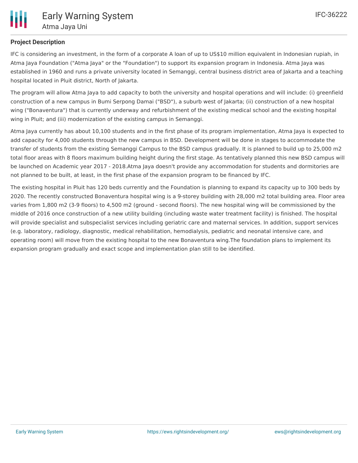

#### **Project Description**

IFC is considering an investment, in the form of a corporate A loan of up to US\$10 million equivalent in Indonesian rupiah, in Atma Jaya Foundation ("Atma Jaya" or the "Foundation") to support its expansion program in Indonesia. Atma Jaya was established in 1960 and runs a private university located in Semanggi, central business district area of Jakarta and a teaching hospital located in Pluit district, North of Jakarta.

The program will allow Atma Jaya to add capacity to both the university and hospital operations and will include: (i) greenfield construction of a new campus in Bumi Serpong Damai ("BSD"), a suburb west of Jakarta; (ii) construction of a new hospital wing ("Bonaventura") that is currently underway and refurbishment of the existing medical school and the existing hospital wing in Pluit; and (iii) modernization of the existing campus in Semanggi.

Atma Jaya currently has about 10,100 students and in the first phase of its program implementation, Atma Jaya is expected to add capacity for 4,000 students through the new campus in BSD. Development will be done in stages to accommodate the transfer of students from the existing Semanggi Campus to the BSD campus gradually. It is planned to build up to 25,000 m2 total floor areas with 8 floors maximum building height during the first stage. As tentatively planned this new BSD campus will be launched on Academic year 2017 - 2018.Atma Jaya doesn't provide any accommodation for students and dormitories are not planned to be built, at least, in the first phase of the expansion program to be financed by IFC.

The existing hospital in Pluit has 120 beds currently and the Foundation is planning to expand its capacity up to 300 beds by 2020. The recently constructed Bonaventura hospital wing is a 9-storey building with 28,000 m2 total building area. Floor area varies from 1,800 m2 (3-9 floors) to 4,500 m2 (ground - second floors). The new hospital wing will be commissioned by the middle of 2016 once construction of a new utility building (including waste water treatment facility) is finished. The hospital will provide specialist and subspecialist services including geriatric care and maternal services. In addition, support services (e.g. laboratory, radiology, diagnostic, medical rehabilitation, hemodialysis, pediatric and neonatal intensive care, and operating room) will move from the existing hospital to the new Bonaventura wing.The foundation plans to implement its expansion program gradually and exact scope and implementation plan still to be identified.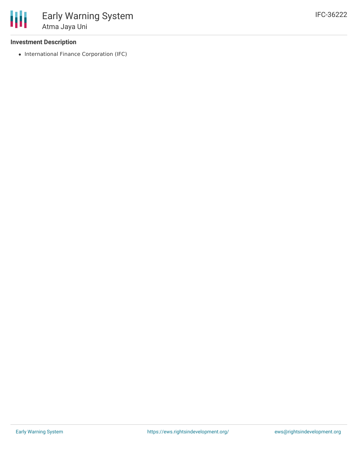#### **Investment Description**

• International Finance Corporation (IFC)